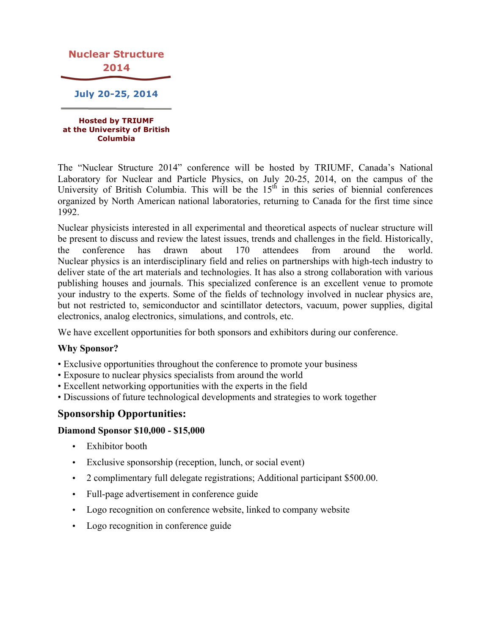

**Hosted by TRIUMF at the University of British Columbia**

The "Nuclear Structure 2014" conference will be hosted by TRIUMF, Canada's National Laboratory for Nuclear and Particle Physics, on July 20-25, 2014, on the campus of the University of British Columbia. This will be the  $15<sup>th</sup>$  in this series of biennial conferences organized by North American national laboratories, returning to Canada for the first time since 1992.

Nuclear physicists interested in all experimental and theoretical aspects of nuclear structure will be present to discuss and review the latest issues, trends and challenges in the field. Historically, the conference has drawn about 170 attendees from around the world. Nuclear physics is an interdisciplinary field and relies on partnerships with high-tech industry to deliver state of the art materials and technologies. It has also a strong collaboration with various publishing houses and journals. This specialized conference is an excellent venue to promote your industry to the experts. Some of the fields of technology involved in nuclear physics are, but not restricted to, semiconductor and scintillator detectors, vacuum, power supplies, digital electronics, analog electronics, simulations, and controls, etc.

We have excellent opportunities for both sponsors and exhibitors during our conference.

# **Why Sponsor?**

- Exclusive opportunities throughout the conference to promote your business
- Exposure to nuclear physics specialists from around the world
- Excellent networking opportunities with the experts in the field
- Discussions of future technological developments and strategies to work together

# **Sponsorship Opportunities:**

#### **Diamond Sponsor \$10,000 - \$15,000**

- Exhibitor booth
- Exclusive sponsorship (reception, lunch, or social event)
- 2 complimentary full delegate registrations; Additional participant \$500.00.
- Full-page advertisement in conference guide
- Logo recognition on conference website, linked to company website
- Logo recognition in conference guide